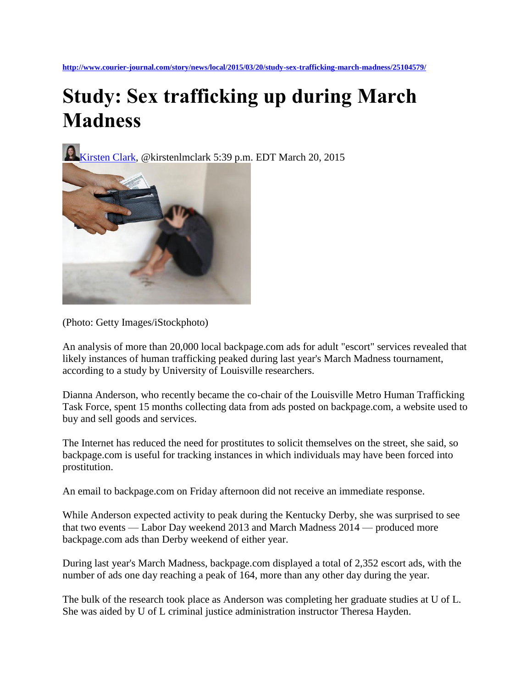**<http://www.courier-journal.com/story/news/local/2015/03/20/study-sex-trafficking-march-madness/25104579/>**

## **Study: Sex trafficking up during March Madness**

[Kirsten Clark,](http://www.courier-journal.com/staff/8811/kirsten-clark/) @kirstenlmclark 5:39 p.m. EDT March 20, 2015



(Photo: Getty Images/iStockphoto)

An analysis of more than 20,000 local backpage.com ads for adult "escort" services revealed that likely instances of human trafficking peaked during last year's March Madness tournament, according to a study by University of Louisville researchers.

Dianna Anderson, who recently became the co-chair of the Louisville Metro Human Trafficking Task Force, spent 15 months collecting data from ads posted on backpage.com, a website used to buy and sell goods and services.

The Internet has reduced the need for prostitutes to solicit themselves on the street, she said, so backpage.com is useful for tracking instances in which individuals may have been forced into prostitution.

An email to backpage.com on Friday afternoon did not receive an immediate response.

While Anderson expected activity to peak during the Kentucky Derby, she was surprised to see that two events — Labor Day weekend 2013 and March Madness 2014 — produced more backpage.com ads than Derby weekend of either year.

During last year's March Madness, backpage.com displayed a total of 2,352 escort ads, with the number of ads one day reaching a peak of 164, more than any other day during the year.

The bulk of the research took place as Anderson was completing her graduate studies at U of L. She was aided by U of L criminal justice administration instructor Theresa Hayden.